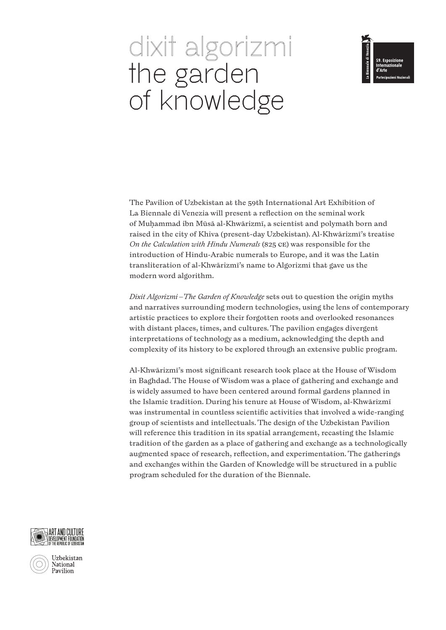# dixit algorizmi the garden of knowledge



The Pavilion of Uzbekistan at the 59th International Art Exhibition of La Biennale di Venezia will present a reflection on the seminal work of Muhammad ibn Mūsā al-Khwārizmī, a scientist and polymath born and raised in the city of Khiva (present-day Uzbekistan). Al-Khwārizmī's treatise *On the Calculation with Hindu Numerals* (825 CE) was responsible for the introduction of Hindu-Arabic numerals to Europe, and it was the Latin transliteration of al-Khwārizmī's name to Algorizmi that gave us the modern word algorithm.

*Dixit Algorizmi–The Garden of Knowledge* sets out to question the origin myths and narratives surrounding modern technologies, using the lens of contemporary artistic practices to explore their forgotten roots and overlooked resonances with distant places, times, and cultures. The pavilion engages divergent interpretations of technology as a medium, acknowledging the depth and complexity of its history to be explored through an extensive public program.

Al-Khwārizmī's most significant research took place at the House of Wisdom in Baghdad. The House of Wisdom was a place of gathering and exchange and is widely assumed to have been centered around formal gardens planned in the Islamic tradition. During his tenure at House of Wisdom, al-Khwārizmī was instrumental in countless scientific activities that involved a wide-ranging group of scientists and intellectuals. The design of the Uzbekistan Pavilion will reference this tradition in its spatial arrangement, recasting the Islamic tradition of the garden as a place of gathering and exchange as a technologically augmented space of research, reflection, and experimentation. The gatherings and exchanges within the Garden of Knowledge will be structured in a public program scheduled for the duration of the Biennale.



Uzbekistan National Pavilion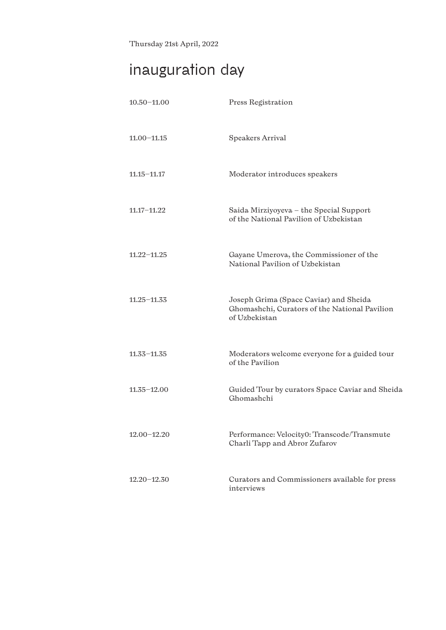Thursday 21st April, 2022

# **inauguration day**

| $10.50 - 11.00$ | Press Registration                                                                                       |
|-----------------|----------------------------------------------------------------------------------------------------------|
| $11.00 - 11.15$ | Speakers Arrival                                                                                         |
| $11.15 - 11.17$ | Moderator introduces speakers                                                                            |
| $11,17-11,22$   | Saida Mirziyoyeva - the Special Support<br>of the National Pavilion of Uzbekistan                        |
| $11.22 - 11.25$ | Gayane Umerova, the Commissioner of the<br>National Pavilion of Uzbekistan                               |
| $11.25 - 11.33$ | Joseph Grima (Space Caviar) and Sheida<br>Ghomashchi, Curators of the National Pavilion<br>of Uzbekistan |
| $11.33 - 11.35$ | Moderators welcome everyone for a guided tour<br>of the Pavilion                                         |
| $11.35 - 12.00$ | Guided Tour by curators Space Caviar and Sheida<br>Ghomashchi                                            |
| $12.00 - 12.20$ | Performance: Velocity0: Transcode/Transmute<br>Charli Tapp and Abror Zufarov                             |
| $12.20 - 12.30$ | Curators and Commissioners available for press<br>interviews                                             |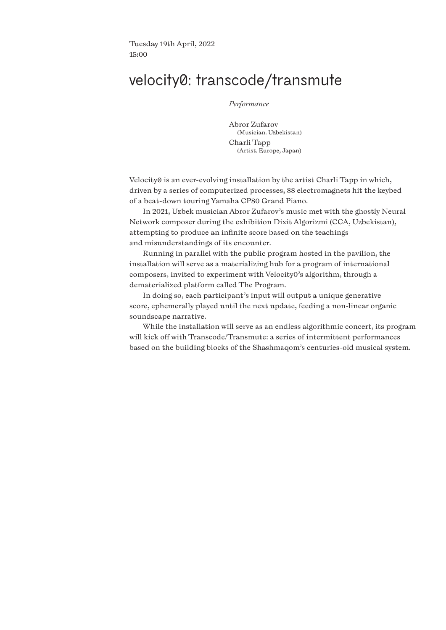Tuesday 19th April, 2022 15:00

### **velocity0: transcode/transmute**

*Performance*

Abror Zufarov (Musician. Uzbekistan) Charli Tapp (Artist. Europe, Japan)

Velocity0 is an ever-evolving installation by the artist Charli Tapp in which, driven by a series of computerized processes, 88 electromagnets hit the keybed of a beat-down touring Yamaha CP80 Grand Piano.

In 2021, Uzbek musician Abror Zufarov's music met with the ghostly Neural Network composer during the exhibition Dixit Algorizmi (CCA, Uzbekistan), attempting to produce an infinite score based on the teachings and misunderstandings of its encounter.

Running in parallel with the public program hosted in the pavilion, the installation will serve as a materializing hub for a program of international composers, invited to experiment with Velocity0's algorithm, through a dematerialized platform called The Program.

In doing so, each participant's input will output a unique generative score, ephemerally played until the next update, feeding a non-linear organic soundscape narrative.

While the installation will serve as an endless algorithmic concert, its program will kick off with Transcode/Transmute: a series of intermittent performances based on the building blocks of the Shashmaqom's centuries-old musical system.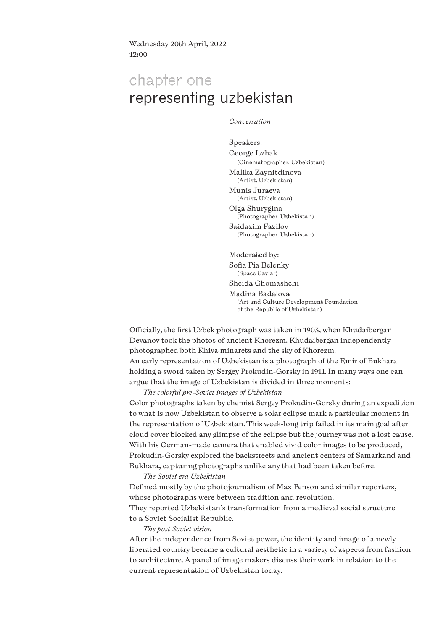Wednesday 20th April, 2022 12:00

# **chapter one representing uzbekistan**

*Conversation*

Speakers: George Itzhak (Cinematographer. Uzbekistan)

Malika Zaynitdinova (Artist. Uzbekistan)

Munis Juraeva (Artist. Uzbekistan)

Olga Shurygina (Photographer. Uzbekistan) Saidazim Fazilov

(Photographer. Uzbekistan)

Moderated by: Sofia Pia Belenky (Space Caviar) Sheida Ghomashchi Madina Badalova (Art and Culture Development Foundation of the Republic of Uzbekistan)

Officially, the first Uzbek photograph was taken in 1903, when Khudaibergan Devanov took the photos of ancient Khorezm. Khudaibergan independently photographed both Khiva minarets and the sky of Khorezm. An early representation of Uzbekistan is a photograph of the Emir of Bukhara holding a sword taken by Sergey Prokudin-Gorsky in 1911. In many ways one can argue that the image of Uzbekistan is divided in three moments:

*The colorful pre-Soviet images of Uzbekistan*

Color photographs taken by chemist Sergey Prokudin-Gorsky during an expedition to what is now Uzbekistan to observe a solar eclipse mark a particular moment in the representation of Uzbekistan. This week-long trip failed in its main goal after cloud cover blocked any glimpse of the eclipse but the journey was not a lost cause. With his German-made camera that enabled vivid color images to be produced, Prokudin-Gorsky explored the backstreets and ancient centers of Samarkand and Bukhara, capturing photographs unlike any that had been taken before.

#### *The Soviet era Uzbekistan*

Defined mostly by the photojournalism of Max Penson and similar reporters, whose photographs were between tradition and revolution. They reported Uzbekistan's transformation from a medieval social structure to a Soviet Socialist Republic.

#### *The post Soviet vision*

After the independence from Soviet power, the identity and image of a newly liberated country became a cultural aesthetic in a variety of aspects from fashion to architecture. A panel of image makers discuss their work in relation to the current representation of Uzbekistan today.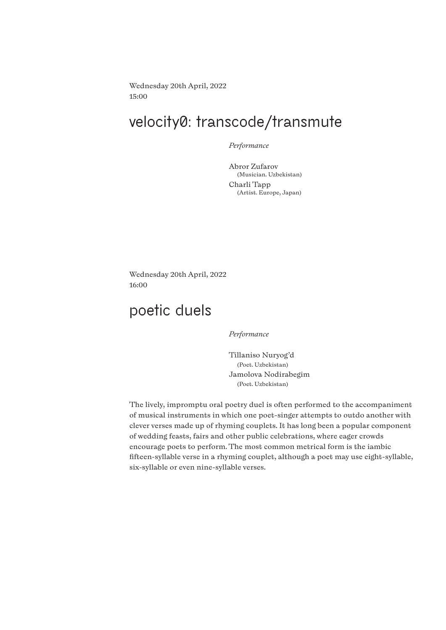Wednesday 20th April, 2022 15:00

# **velocity0: transcode/transmute**

*Performance*

Abror Zufarov (Musician. Uzbekistan) Charli Tapp (Artist. Europe, Japan)

Wednesday 20th April, 2022 16:00

# **poetic duels**

*Performance*

Tillaniso Nuryog'd (Poet. Uzbekistan) Jamolova Nodirabegim (Poet. Uzbekistan)

The lively, impromptu oral poetry duel is often performed to the accompaniment of musical instruments in which one poet-singer attempts to outdo another with clever verses made up of rhyming couplets. It has long been a popular component of wedding feasts, fairs and other public celebrations, where eager crowds encourage poets to perform. The most common metrical form is the iambic fifteen-syllable verse in a rhyming couplet, although a poet may use eight-syllable, six-syllable or even nine-syllable verses.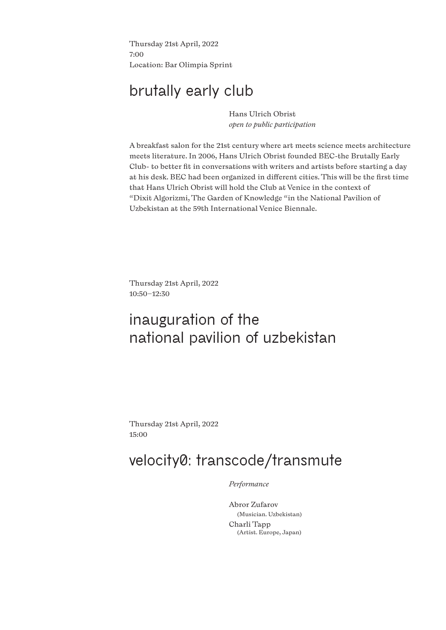Thursday 21st April, 2022 7:00 Location: Bar Olimpia Sprint

# **brutally early club**

Hans Ulrich Obrist *open to public participation*

A breakfast salon for the 21st century where art meets science meets architecture meets literature. In 2006, Hans Ulrich Obrist founded BEC-the Brutally Early Club- to better fit in conversations with writers and artists before starting a day at his desk. BEC had been organized in different cities. This will be the first time that Hans Ulrich Obrist will hold the Club at Venice in the context of "Dixit Algorizmi, The Garden of Knowledge "in the National Pavilion of Uzbekistan at the 59th International Venice Biennale.

Thursday 21st April, 2022 10:50–12:30

# **inauguration of the national pavilion of uzbekistan**

Thursday 21st April, 2022 15:00

# **velocity0: transcode/transmute**

*Performance*

Abror Zufarov (Musician. Uzbekistan) Charli Tapp (Artist. Europe, Japan)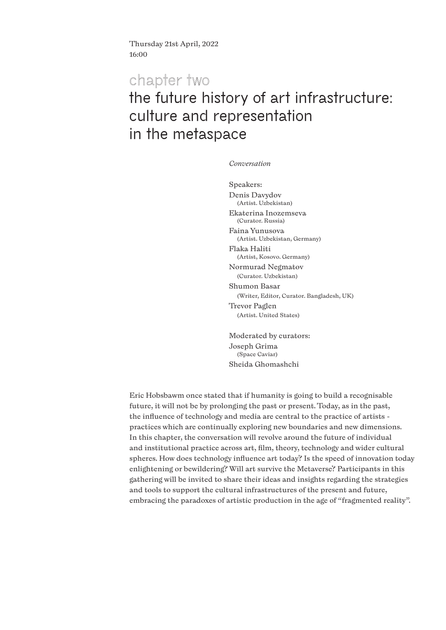Thursday 21st April, 2022 16:00

### **chapter two**

# **the future history of art infrastructure: culture and representation in the metaspace**

*Conversation* 

Speakers: Denis Davydov (Artist. Uzbekistan) Ekaterina Inozemseva (Curator. Russia) Faina Yunusova (Artist. Uzbekistan, Germany) Flaka Haliti (Artist, Kosovo. Germany) Normurad Negmatov (Curator. Uzbekistan) Shumon Basar (Writer, Editor, Curator. Bangladesh, UK) Trevor Paglen (Artist. United States)

Moderated by curators: Joseph Grima (Space Caviar) Sheida Ghomashchi

Eric Hobsbawm once stated that if humanity is going to build a recognisable future, it will not be by prolonging the past or present. Today, as in the past, the influence of technology and media are central to the practice of artists practices which are continually exploring new boundaries and new dimensions. In this chapter, the conversation will revolve around the future of individual and institutional practice across art, film, theory, technology and wider cultural spheres. How does technology influence art today? Is the speed of innovation today enlightening or bewildering? Will art survive the Metaverse? Participants in this gathering will be invited to share their ideas and insights regarding the strategies and tools to support the cultural infrastructures of the present and future, embracing the paradoxes of artistic production in the age of "fragmented reality".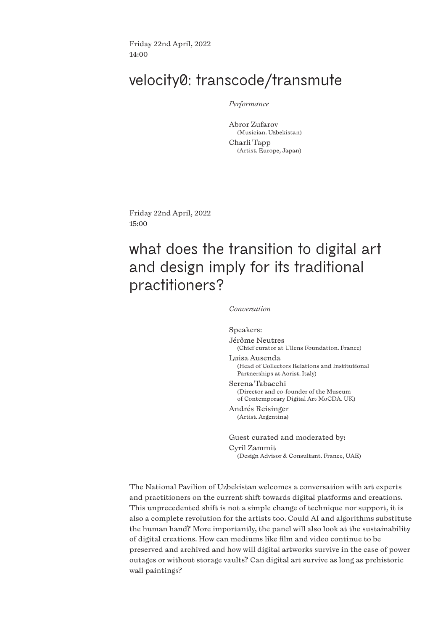Friday 22nd April, 2022 14:00

### **velocity0: transcode/transmute**

*Performance*

Abror Zufarov (Musician. Uzbekistan) Charli Tapp (Artist. Europe, Japan)

Friday 22nd April, 2022 15:00

# **what does the transition to digital art and design imply for its traditional practitioners?**

*Conversation*

Speakers: Jérôme Neutres (Chief curator at Ullens Foundation. France) Luisa Ausenda (Head of Collectors Relations and Institutional Partnerships at Aorist. Italy) Serena Tabacchi (Director and co-founder of the Museum of Contemporary Digital Art MoCDA. UK)

Andrés Reisinger (Artist. Argentina)

Guest curated and moderated by: Cyril Zammit (Design Advisor & Consultant. France, UAE)

The National Pavilion of Uzbekistan welcomes a conversation with art experts and practitioners on the current shift towards digital platforms and creations. This unprecedented shift is not a simple change of technique nor support, it is also a complete revolution for the artists too. Could AI and algorithms substitute the human hand? More importantly, the panel will also look at the sustainability of digital creations. How can mediums like film and video continue to be preserved and archived and how will digital artworks survive in the case of power outages or without storage vaults? Can digital art survive as long as prehistoric wall paintings?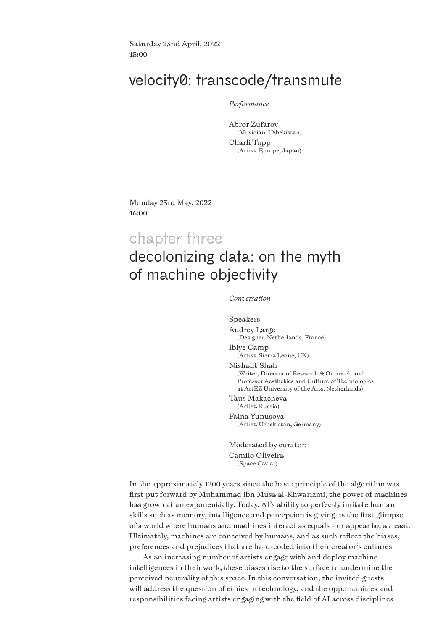Saturday 23nd April, 2022 15:00

### **velocity0: transcode/transmute**

#### *Performance*

Abror Zufarov (Musician. Uzbekistan) Charli Tapp (Artist. Europe, Japan)

Monday 23rd May, 2022 16:00

# **chapter three**

### **decolonizing data: on the myth of machine objectivity**

*Conversation*

Speakers: Audrey Large (Designer. Netherlands, France) Ibiye Camp (Artist. Sierra Leone, UK) Nishant Shah (Writer, Director of Research & Outreach and Professor Aesthetics and Culture of Technologies at ArtEZ University of the Arts. Netherlands) Taus Makacheva

(Artist. Russia) Faina Yunusova

(Artist. Uzbekistan, Germany)

Moderated by curator: Camilo Oliveira (Space Caviar)

In the approximately 1200 years since the basic principle of the algorithm was first put forward by Muhammad ibn Musa al-Khwarizmi, the power of machines has grown at an exponentially. Today, AI's ability to perfectly imitate human skills such as memory, intelligence and perception is giving us the first glimpse of a world where humans and machines interact as equals - or appear to, at least. Ultimately, machines are conceived by humans, and as such reflect the biases, preferences and prejudices that are hard-coded into their creator's cultures.

As an increasing number of artists engage with and deploy machine intelligences in their work, these biases rise to the surface to undermine the perceived neutrality of this space. In this conversation, the invited guests will address the question of ethics in technology, and the opportunities and responsibilities facing artists engaging with the field of AI across disciplines.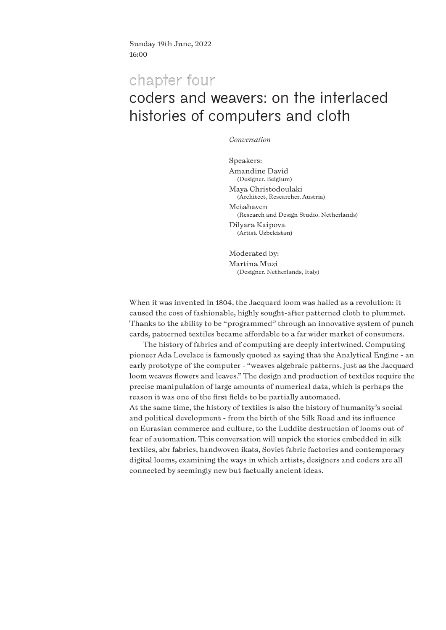Sunday 19th June, 2022 16:00

### **chapter four**

# **coders and weavers: on the interlaced histories of computers and cloth**

#### *Conversation*

Speakers: Amandine David (Designer. Belgium) Maya Christodoulaki (Architect, Researcher. Austria) Metahaven (Research and Design Studio. Netherlands) Dilyara Kaipova (Artist. Uzbekistan)

Moderated by: Martina Muzi (Designer. Netherlands, Italy)

When it was invented in 1804, the Jacquard loom was hailed as a revolution: it caused the cost of fashionable, highly sought-after patterned cloth to plummet. Thanks to the ability to be "programmed" through an innovative system of punch cards, patterned textiles became affordable to a far wider market of consumers.

The history of fabrics and of computing are deeply intertwined. Computing pioneer Ada Lovelace is famously quoted as saying that the Analytical Engine - an early prototype of the computer - "weaves algebraic patterns, just as the Jacquard loom weaves flowers and leaves." The design and production of textiles require the precise manipulation of large amounts of numerical data, which is perhaps the reason it was one of the first fields to be partially automated.

At the same time, the history of textiles is also the history of humanity's social and political development - from the birth of the Silk Road and its influence on Eurasian commerce and culture, to the Luddite destruction of looms out of fear of automation. This conversation will unpick the stories embedded in silk textiles, abr fabrics, handwoven ikats, Soviet fabric factories and contemporary digital looms, examining the ways in which artists, designers and coders are all connected by seemingly new but factually ancient ideas.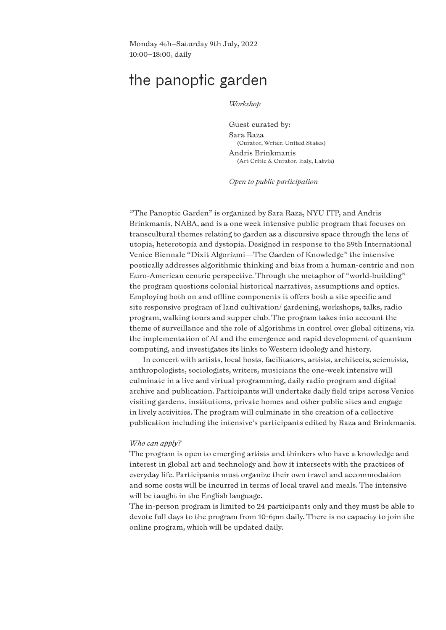Monday 4th–Saturday 9th July, 2022 10:00–18:00, daily

# **the panoptic garden**

*Workshop*

Guest curated by: Sara Raza (Curator, Writer. United States) Andris Brinkmanis (Art Critic & Curator. Italy, Latvia)

*Open to public participation* 

"The Panoptic Garden" is organized by Sara Raza, NYU ITP, and Andris Brinkmanis, NABA, and is a one week intensive public program that focuses on transcultural themes relating to garden as a discursive space through the lens of utopia, heterotopia and dystopia. Designed in response to the 59th International Venice Biennale "Dixit Algorizmi—The Garden of Knowledge" the intensive poetically addresses algorithmic thinking and bias from a human-centric and non Euro-American centric perspective. Through the metaphor of "world-building" the program questions colonial historical narratives, assumptions and optics. Employing both on and offline components it offers both a site specific and site responsive program of land cultivation/ gardening, workshops, talks, radio program, walking tours and supper club. The program takes into account the theme of surveillance and the role of algorithms in control over global citizens, via the implementation of AI and the emergence and rapid development of quantum computing, and investigates its links to Western ideology and history.

In concert with artists, local hosts, facilitators, artists, architects, scientists, anthropologists, sociologists, writers, musicians the one-week intensive will culminate in a live and virtual programming, daily radio program and digital archive and publication. Participants will undertake daily field trips across Venice visiting gardens, institutions, private homes and other public sites and engage in lively activities. The program will culminate in the creation of a collective publication including the intensive's participants edited by Raza and Brinkmanis.

#### *Who can apply?*

The program is open to emerging artists and thinkers who have a knowledge and interest in global art and technology and how it intersects with the practices of everyday life. Participants must organize their own travel and accommodation and some costs will be incurred in terms of local travel and meals. The intensive will be taught in the English language.

The in-person program is limited to 24 participants only and they must be able to devote full days to the program from 10-6pm daily. There is no capacity to join the online program, which will be updated daily.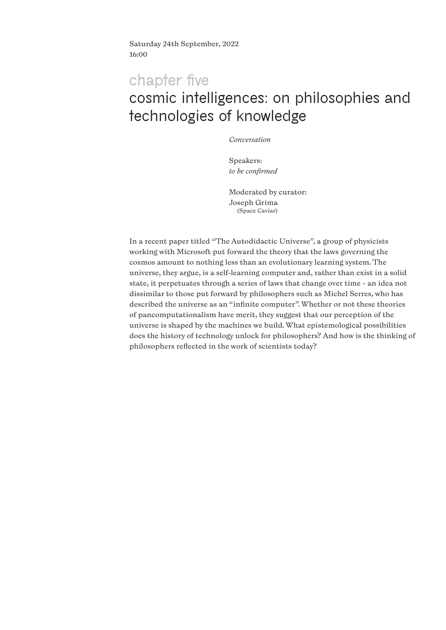Saturday 24th September, 2022 16:00

# **chapter five cosmic intelligences: on philosophies and technologies of knowledge**

*Conversation*

Speakers: *to be confirmed*

Moderated by curator: Joseph Grima (Space Caviar)

In a recent paper titled "The Autodidactic Universe", a group of physicists working with Microsoft put forward the theory that the laws governing the cosmos amount to nothing less than an evolutionary learning system. The universe, they argue, is a self-learning computer and, rather than exist in a solid state, it perpetuates through a series of laws that change over time - an idea not dissimilar to those put forward by philosophers such as Michel Serres, who has described the universe as an "infinite computer". Whether or not these theories of pancomputationalism have merit, they suggest that our perception of the universe is shaped by the machines we build. What epistemological possibilities does the history of technology unlock for philosophers? And how is the thinking of philosophers reflected in the work of scientists today?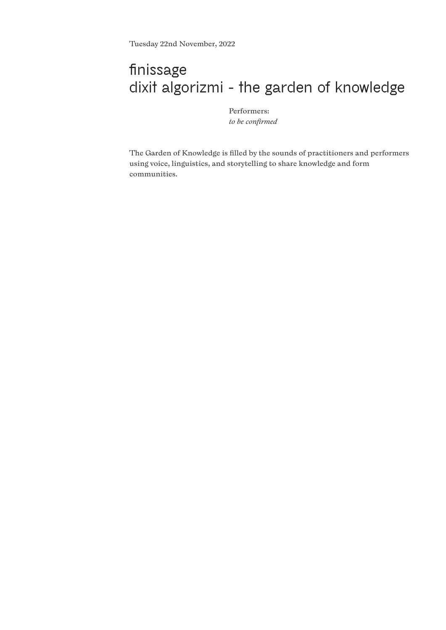# **finissage dixit algorizmi - the garden of knowledge**

Performers: *to be confirmed*

The Garden of Knowledge is filled by the sounds of practitioners and performers using voice, linguistics, and storytelling to share knowledge and form communities.